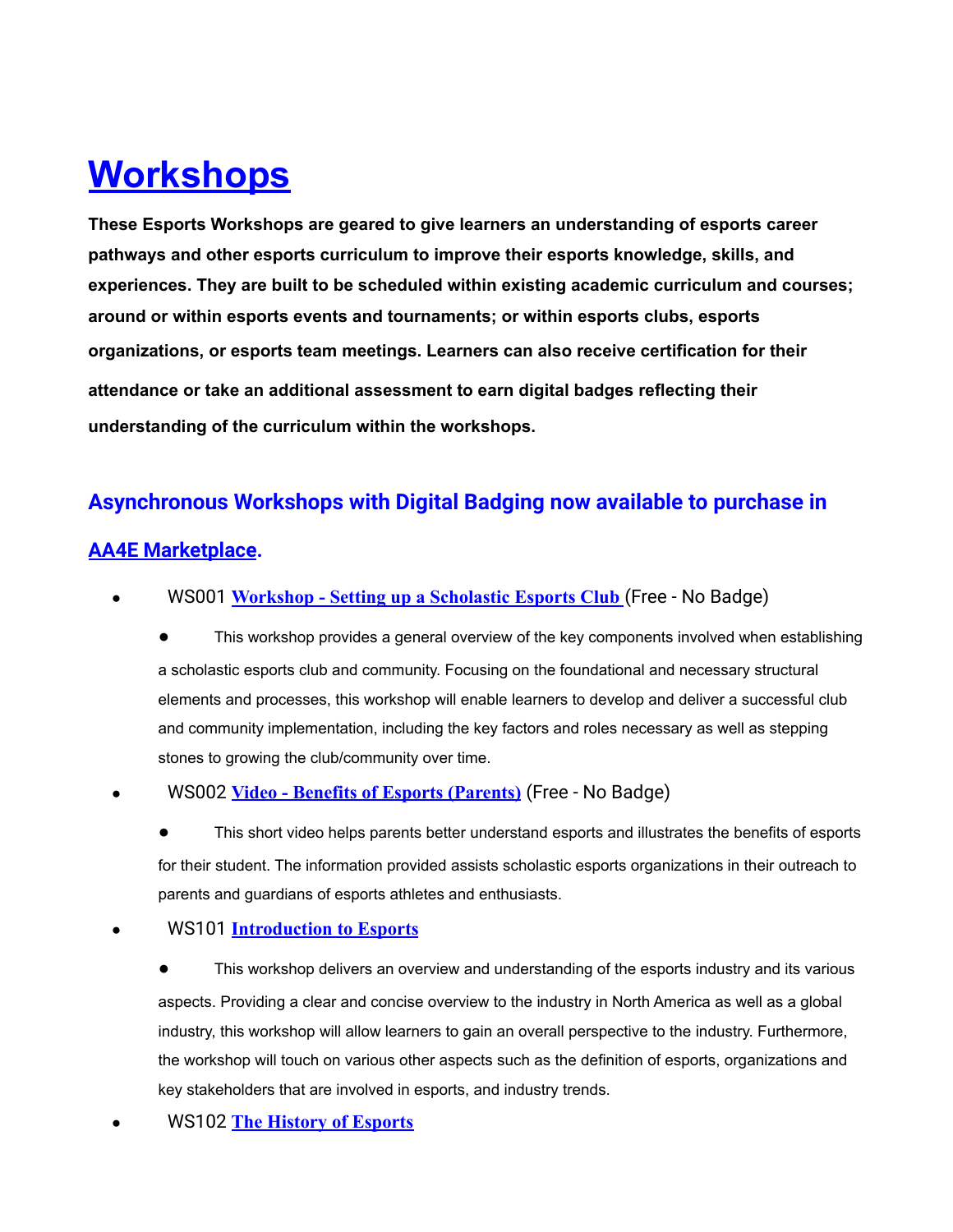# **Workshops**

**These Esports Workshops are geared to give learners an understanding of esports career pathways and other esports curriculum to improve their esports knowledge, skills, and experiences. They are built to be scheduled within existing academic curriculum and courses; around or within esports events and tournaments; or within esports clubs, esports organizations, or esports team meetings. Learners can also receive certification for their attendance or take an additional assessment to earn digital badges reflecting their understanding of the curriculum within the workshops.**

# **Asynchronous Workshops with Digital Badging now available to purchase in**

# **AA4E Marketplace.**

WS001 [Workshop - Setting up a Scholastic Esports Club](https://vimeo.com/578626955/010fa37673) (Free - No Badge)

This workshop provides a general overview of the key components involved when establishing a scholastic esports club and community. Focusing on the foundational and necessary structural elements and processes, this workshop will enable learners to develop and deliver a successful club and community implementation, including the key factors and roles necessary as well as stepping stones to growing the club/community over time.

# ● WS002 **[Video - Benefits of Esports \(Parents\)](https://vimeo.com/578049133/6349c6c195)** (Free - No Badge)

This short video helps parents better understand esports and illustrates the benefits of esports for their student. The information provided assists scholastic esports organizations in their outreach to parents and guardians of esports athletes and enthusiasts.

# ● WS101 **[Introduction to Esports](https://access-alliance-for-education.mybigcommerce.com/asynchronous-workshop-introduction-the-the-esports-industry/?aff=3)**

This workshop delivers an overview and understanding of the esports industry and its various aspects. Providing a clear and concise overview to the industry in North America as well as a global industry, this workshop will allow learners to gain an overall perspective to the industry. Furthermore, the workshop will touch on various other aspects such as the definition of esports, organizations and key stakeholders that are involved in esports, and industry trends.

● WS102 **[The History of Esports](https://access-alliance-for-education.mybigcommerce.com/asynchronous-workshop-the-history-of-esports/?aff=3#_blank)**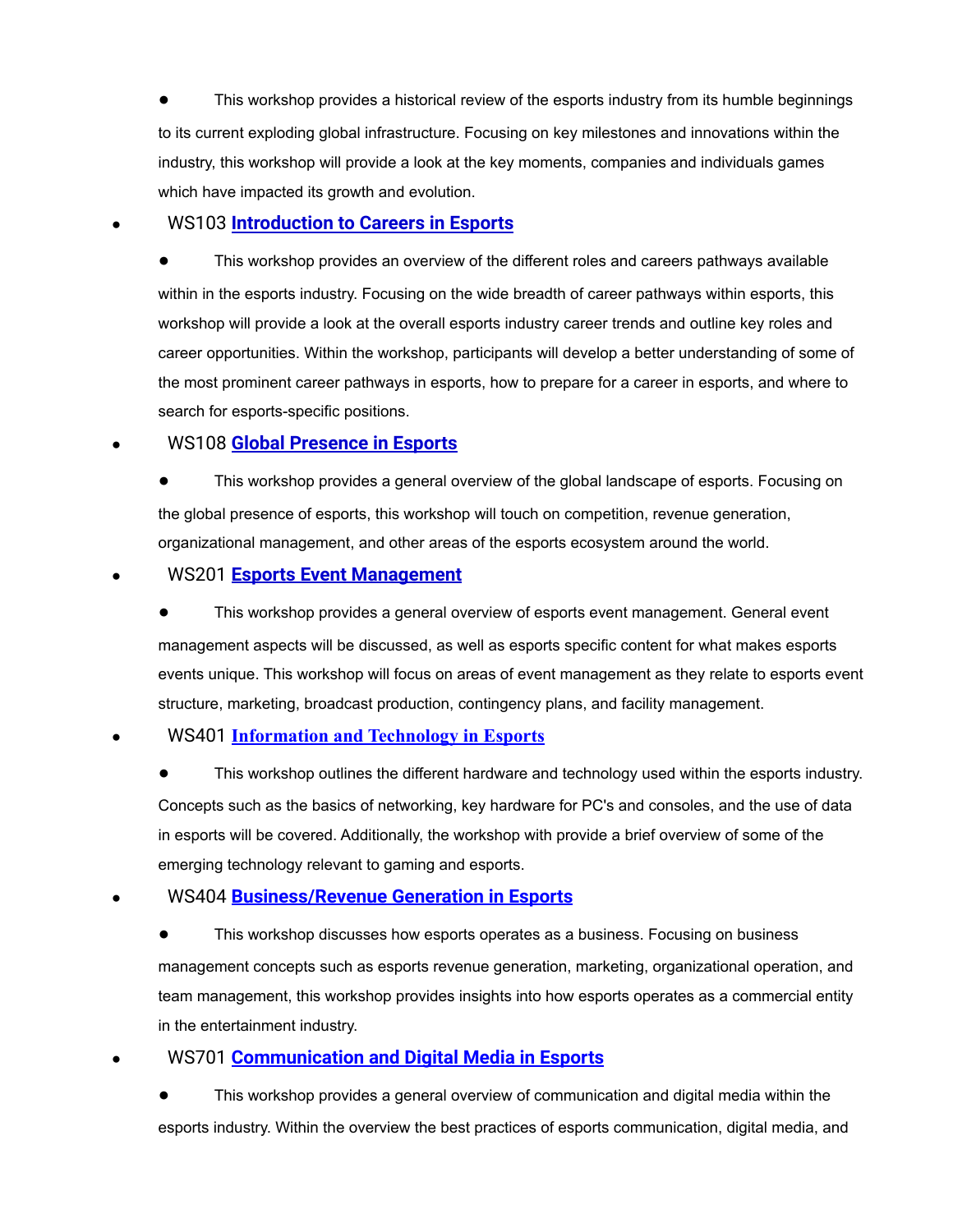This workshop provides a historical review of the esports industry from its humble beginnings to its current exploding global infrastructure. Focusing on key milestones and innovations within the industry, this workshop will provide a look at the key moments, companies and individuals games which have impacted its growth and evolution.

### ● WS103 **[Introduction to Careers in Esports](https://access-alliance-for-education.mybigcommerce.com/asynchronous-workshop-introduction-to-careers-in-esports/?aff=3)**

This workshop provides an overview of the different roles and careers pathways available within in the esports industry. Focusing on the wide breadth of career pathways within esports, this workshop will provide a look at the overall esports industry career trends and outline key roles and career opportunities. Within the workshop, participants will develop a better understanding of some of the most prominent career pathways in esports, how to prepare for a career in esports, and where to search for esports-specific positions.

#### ● WS108 **[Global Presence in Esports](https://access-alliance-for-education.mybigcommerce.com/asynchronous-workshop-global-presence-in-esports/?aff=3)**

This workshop provides a general overview of the global landscape of esports. Focusing on the global presence of esports, this workshop will touch on competition, revenue generation, organizational management, and other areas of the esports ecosystem around the world.

#### ● WS201 **[Esports Event Management](https://access-alliance-for-education.mybigcommerce.com/asynchronous-workshop-esports-events-management/?aff=3)**

This workshop provides a general overview of esports event management. General event management aspects will be discussed, as well as esports specific content for what makes esports events unique. This workshop will focus on areas of event management as they relate to esports event structure, marketing, broadcast production, contingency plans, and facility management.

#### ● WS401 **[Information and Technology in Esports](https://access-alliance-for-education.mybigcommerce.com/asynchronous-workshop-information-and-technology-in-esports/?aff=3)**

This workshop outlines the different hardware and technology used within the esports industry. Concepts such as the basics of networking, key hardware for PC's and consoles, and the use of data in esports will be covered. Additionally, the workshop with provide a brief overview of some of the emerging technology relevant to gaming and esports.

# ● WS404 **[Business/Revenue Generation in Esports](https://access-alliance-for-education.mybigcommerce.com/asynchronous-workshop-business-revenue-generation-in-esports/?aff=3)**

This workshop discusses how esports operates as a business. Focusing on business management concepts such as esports revenue generation, marketing, organizational operation, and team management, this workshop provides insights into how esports operates as a commercial entity in the entertainment industry.

# ● WS701 **[Communication and Digital Media in Esports](https://access-alliance-for-education.mybigcommerce.com/asynchronous-workshop-communications-and-digital-media-in-esports/?aff=3)**

This workshop provides a general overview of communication and digital media within the esports industry. Within the overview the best practices of esports communication, digital media, and